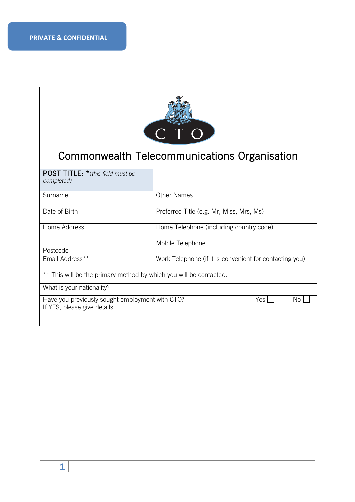

# Commonwealth Telecommunications Organisation

| <b>POST TITLE:</b> *(this field must be<br>completed)                          |                                                         |  |  |  |
|--------------------------------------------------------------------------------|---------------------------------------------------------|--|--|--|
| Surname                                                                        | <b>Other Names</b>                                      |  |  |  |
| Date of Birth                                                                  | Preferred Title (e.g. Mr, Miss, Mrs, Ms)                |  |  |  |
| Home Address                                                                   | Home Telephone (including country code)                 |  |  |  |
|                                                                                | Mobile Telephone                                        |  |  |  |
| Postcode                                                                       |                                                         |  |  |  |
| Email Address**                                                                | Work Telephone (if it is convenient for contacting you) |  |  |  |
| ** This will be the primary method by which you will be contacted.             |                                                         |  |  |  |
| What is your nationality?                                                      |                                                         |  |  |  |
| Have you previously sought employment with CTO?<br>If YES, please give details | Yes I<br>No.                                            |  |  |  |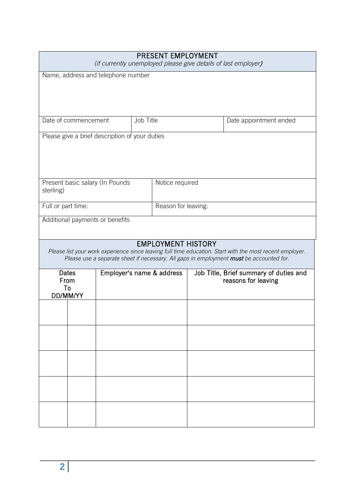| PRESENT EMPLOYMENT<br>(if currently unemployed please give details of last employer) |                                    |                           |           |                           |  |                                                                                                                                                                                                     |
|--------------------------------------------------------------------------------------|------------------------------------|---------------------------|-----------|---------------------------|--|-----------------------------------------------------------------------------------------------------------------------------------------------------------------------------------------------------|
|                                                                                      | Name, address and telephone number |                           |           |                           |  |                                                                                                                                                                                                     |
|                                                                                      |                                    |                           |           |                           |  |                                                                                                                                                                                                     |
|                                                                                      |                                    |                           |           |                           |  |                                                                                                                                                                                                     |
| Date of commencement                                                                 |                                    |                           | Job Title |                           |  | Date appointment ended                                                                                                                                                                              |
| Please give a brief description of your duties                                       |                                    |                           |           |                           |  |                                                                                                                                                                                                     |
|                                                                                      |                                    |                           |           |                           |  |                                                                                                                                                                                                     |
|                                                                                      |                                    |                           |           |                           |  |                                                                                                                                                                                                     |
| Present basic salary (In Pounds<br>sterling)                                         |                                    |                           |           | Notice required           |  |                                                                                                                                                                                                     |
| Full or part time:                                                                   |                                    |                           |           | Reason for leaving:       |  |                                                                                                                                                                                                     |
| Additional payments or benefits                                                      |                                    |                           |           |                           |  |                                                                                                                                                                                                     |
|                                                                                      |                                    |                           |           | <b>EMPLOYMENT HISTORY</b> |  |                                                                                                                                                                                                     |
|                                                                                      |                                    |                           |           |                           |  | Please list your work experience since leaving full time education. Start with the most recent employer.<br>Please use a separate sheet if necessary. All gaps in employment must be accounted for. |
| <b>Dates</b><br>From                                                                 |                                    | Employer's name & address |           |                           |  | Job Title, Brief summary of duties and<br>reasons for leaving                                                                                                                                       |
| To<br>DD/MM/YY                                                                       |                                    |                           |           |                           |  |                                                                                                                                                                                                     |
|                                                                                      |                                    |                           |           |                           |  |                                                                                                                                                                                                     |
|                                                                                      |                                    |                           |           |                           |  |                                                                                                                                                                                                     |
|                                                                                      |                                    |                           |           |                           |  |                                                                                                                                                                                                     |
|                                                                                      |                                    |                           |           |                           |  |                                                                                                                                                                                                     |
|                                                                                      |                                    |                           |           |                           |  |                                                                                                                                                                                                     |
|                                                                                      |                                    |                           |           |                           |  |                                                                                                                                                                                                     |
|                                                                                      |                                    |                           |           |                           |  |                                                                                                                                                                                                     |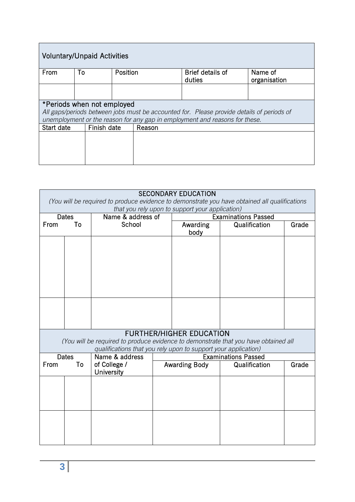| <b>Voluntary/Unpaid Activities</b>                                                                                                                                                                     |    |             |          |        |                            |                         |
|--------------------------------------------------------------------------------------------------------------------------------------------------------------------------------------------------------|----|-------------|----------|--------|----------------------------|-------------------------|
| From                                                                                                                                                                                                   | To |             | Position |        | Brief details of<br>duties | Name of<br>organisation |
|                                                                                                                                                                                                        |    |             |          |        |                            |                         |
| *Periods when not employed<br>All gaps/periods between jobs must be accounted for. Please provide details of periods of<br>unemployment or the reason for any gap in employment and reasons for these. |    |             |          |        |                            |                         |
| Start date                                                                                                                                                                                             |    | Finish date |          | Reason |                            |                         |
|                                                                                                                                                                                                        |    |             |          |        |                            |                         |

|                                                 | <b>SECONDARY EDUCATION</b><br>(You will be required to produce evidence to demonstrate you have obtained all qualifications |                                                                |                      |                                 |                                                                                     |       |  |  |
|-------------------------------------------------|-----------------------------------------------------------------------------------------------------------------------------|----------------------------------------------------------------|----------------------|---------------------------------|-------------------------------------------------------------------------------------|-------|--|--|
| that you rely upon to support your application) |                                                                                                                             |                                                                |                      |                                 |                                                                                     |       |  |  |
|                                                 | <b>Dates</b>                                                                                                                | Name & address of                                              |                      |                                 | <b>Examinations Passed</b>                                                          |       |  |  |
| From                                            | To                                                                                                                          | School                                                         |                      | Awarding                        | Qualification                                                                       | Grade |  |  |
|                                                 |                                                                                                                             |                                                                |                      | body                            |                                                                                     |       |  |  |
|                                                 |                                                                                                                             |                                                                |                      |                                 |                                                                                     |       |  |  |
|                                                 |                                                                                                                             |                                                                |                      |                                 |                                                                                     |       |  |  |
|                                                 |                                                                                                                             |                                                                |                      |                                 |                                                                                     |       |  |  |
|                                                 |                                                                                                                             |                                                                |                      |                                 |                                                                                     |       |  |  |
|                                                 |                                                                                                                             |                                                                |                      |                                 |                                                                                     |       |  |  |
|                                                 |                                                                                                                             |                                                                |                      |                                 |                                                                                     |       |  |  |
|                                                 |                                                                                                                             |                                                                |                      |                                 |                                                                                     |       |  |  |
|                                                 |                                                                                                                             |                                                                |                      |                                 |                                                                                     |       |  |  |
|                                                 |                                                                                                                             |                                                                |                      |                                 |                                                                                     |       |  |  |
|                                                 |                                                                                                                             |                                                                |                      |                                 |                                                                                     |       |  |  |
|                                                 |                                                                                                                             |                                                                |                      | <b>FURTHER/HIGHER EDUCATION</b> |                                                                                     |       |  |  |
|                                                 |                                                                                                                             |                                                                |                      |                                 | (You will be required to produce evidence to demonstrate that you have obtained all |       |  |  |
|                                                 |                                                                                                                             | qualifications that you rely upon to support your application) |                      |                                 |                                                                                     |       |  |  |
|                                                 | <b>Dates</b>                                                                                                                | Name & address                                                 |                      |                                 | <b>Examinations Passed</b>                                                          |       |  |  |
| From                                            | To                                                                                                                          | of College /                                                   | <b>Awarding Body</b> |                                 | Qualification                                                                       | Grade |  |  |
|                                                 |                                                                                                                             | University                                                     |                      |                                 |                                                                                     |       |  |  |
|                                                 |                                                                                                                             |                                                                |                      |                                 |                                                                                     |       |  |  |
|                                                 |                                                                                                                             |                                                                |                      |                                 |                                                                                     |       |  |  |
|                                                 |                                                                                                                             |                                                                |                      |                                 |                                                                                     |       |  |  |
|                                                 |                                                                                                                             |                                                                |                      |                                 |                                                                                     |       |  |  |
|                                                 |                                                                                                                             |                                                                |                      |                                 |                                                                                     |       |  |  |
|                                                 |                                                                                                                             |                                                                |                      |                                 |                                                                                     |       |  |  |
|                                                 |                                                                                                                             |                                                                |                      |                                 |                                                                                     |       |  |  |
|                                                 |                                                                                                                             |                                                                |                      |                                 |                                                                                     |       |  |  |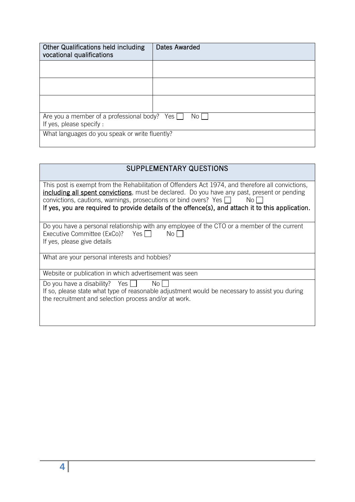| <b>Other Qualifications held including</b><br>vocational qualifications                 | Dates Awarded |  |  |  |
|-----------------------------------------------------------------------------------------|---------------|--|--|--|
|                                                                                         |               |  |  |  |
|                                                                                         |               |  |  |  |
|                                                                                         |               |  |  |  |
| Are you a member of a professional body? Yes $\Box$<br>No L<br>If yes, please specify : |               |  |  |  |
| What languages do you speak or write fluently?                                          |               |  |  |  |

| <b>SUPPLEMENTARY QUESTIONS</b>                                                                                                                                                                                                                                                                                                                                                                    |
|---------------------------------------------------------------------------------------------------------------------------------------------------------------------------------------------------------------------------------------------------------------------------------------------------------------------------------------------------------------------------------------------------|
| This post is exempt from the Rehabilitation of Offenders Act 1974, and therefore all convictions,<br><b>including all spent convictions</b> , must be declared. Do you have any past, present or pending<br>convictions, cautions, warnings, prosecutions or bind overs? Yes $\Box$<br>No II<br>If yes, you are required to provide details of the offence(s), and attach it to this application. |
| Do you have a personal relationship with any employee of the CTO or a member of the current<br>Executive Committee (ExCo)? Yes<br>No l<br>If yes, please give details                                                                                                                                                                                                                             |
| What are your personal interests and hobbies?                                                                                                                                                                                                                                                                                                                                                     |
| Website or publication in which advertisement was seen                                                                                                                                                                                                                                                                                                                                            |
| Do you have a disability? Yes $\Box$<br>No.<br>If so, please state what type of reasonable adjustment would be necessary to assist you during<br>the recruitment and selection process and/or at work.                                                                                                                                                                                            |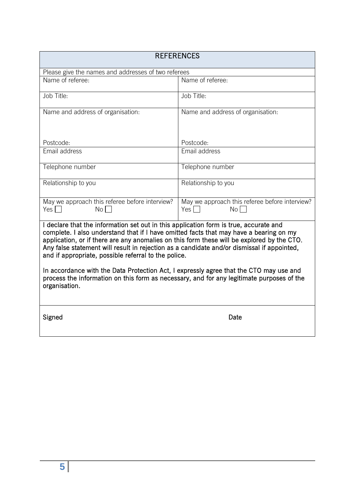| <b>REFERENCES</b>                                                                                                                                                                                                                                                                                                                                                                                                                                                                                                                                                                                                                           |                                                                           |  |  |  |
|---------------------------------------------------------------------------------------------------------------------------------------------------------------------------------------------------------------------------------------------------------------------------------------------------------------------------------------------------------------------------------------------------------------------------------------------------------------------------------------------------------------------------------------------------------------------------------------------------------------------------------------------|---------------------------------------------------------------------------|--|--|--|
| Please give the names and addresses of two referees                                                                                                                                                                                                                                                                                                                                                                                                                                                                                                                                                                                         |                                                                           |  |  |  |
| Name of referee:                                                                                                                                                                                                                                                                                                                                                                                                                                                                                                                                                                                                                            | Name of referee:                                                          |  |  |  |
| Job Title:                                                                                                                                                                                                                                                                                                                                                                                                                                                                                                                                                                                                                                  | Job Title:                                                                |  |  |  |
| Name and address of organisation:                                                                                                                                                                                                                                                                                                                                                                                                                                                                                                                                                                                                           | Name and address of organisation:                                         |  |  |  |
| Postcode:                                                                                                                                                                                                                                                                                                                                                                                                                                                                                                                                                                                                                                   | Postcode:                                                                 |  |  |  |
| Email address                                                                                                                                                                                                                                                                                                                                                                                                                                                                                                                                                                                                                               | Email address                                                             |  |  |  |
| Telephone number                                                                                                                                                                                                                                                                                                                                                                                                                                                                                                                                                                                                                            | Telephone number                                                          |  |  |  |
| Relationship to you                                                                                                                                                                                                                                                                                                                                                                                                                                                                                                                                                                                                                         | Relationship to you                                                       |  |  |  |
| May we approach this referee before interview?<br>Yes $\Box$<br>$No \Box$                                                                                                                                                                                                                                                                                                                                                                                                                                                                                                                                                                   | May we approach this referee before interview?<br>Yes $\Box$<br>$No \Box$ |  |  |  |
| I declare that the information set out in this application form is true, accurate and<br>complete. I also understand that if I have omitted facts that may have a bearing on my<br>application, or if there are any anomalies on this form these will be explored by the CTO.<br>Any false statement will result in rejection as a candidate and/or dismissal if appointed,<br>and if appropriate, possible referral to the police.<br>In accordance with the Data Protection Act, I expressly agree that the CTO may use and<br>process the information on this form as necessary, and for any legitimate purposes of the<br>organisation. |                                                                           |  |  |  |
| Signed                                                                                                                                                                                                                                                                                                                                                                                                                                                                                                                                                                                                                                      | Date                                                                      |  |  |  |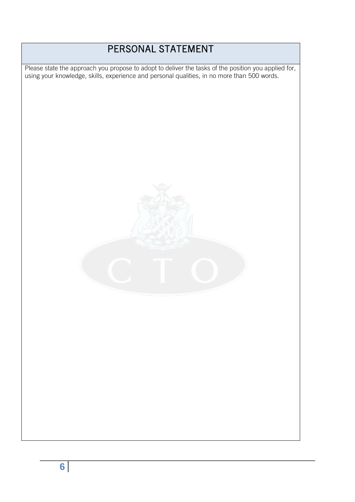## PERSONAL STATEMENT

 Please state the approach you propose to adopt to deliver the tasks of the position you applied for, using your knowledge, skills, experience and personal qualities, in no more than 500 words.

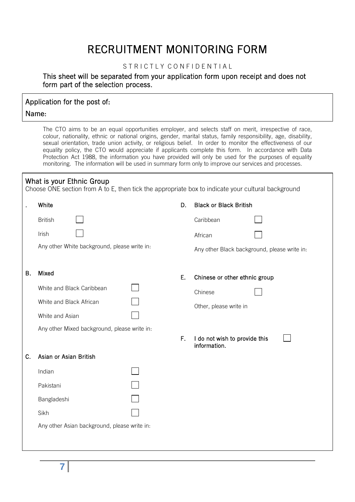## RECRUITMENT MONITORING FORM

#### STRICTLY CONFIDENTIAL

#### This sheet will be separated from your application form upon receipt and does not form part of the selection process.

### Application for the post of: Name:

The CTO aims to be an equal opportunities employer, and selects staff on merit, irrespective of race, colour, nationality, ethnic or national origins, gender, marital status, family responsibility, age, disability, sexual orientation, trade union activity, or religious belief. In order to monitor the effectiveness of our equality policy, the CTO would appreciate if applicants complete this form. In accordance with Data Protection Act 1988, the information you have provided will only be used for the purposes of equality monitoring. The information will be used in summary form only to improve our services and processes.

#### What is your Ethnic Group

Choose ONE section from A to E, then tick the appropriate box to indicate your cultural background

|    | White                                        | D. | <b>Black or Black British</b>                 |
|----|----------------------------------------------|----|-----------------------------------------------|
|    | <b>British</b>                               |    | Caribbean                                     |
|    | Irish                                        |    | African                                       |
|    | Any other White background, please write in: |    | Any other Black background, please write in:  |
| Β. | Mixed<br>White and Black Caribbean           | E. | Chinese or other ethnic group                 |
|    |                                              |    | Chinese                                       |
|    | White and Black African                      |    | Other, please write in                        |
|    | White and Asian                              |    |                                               |
|    | Any other Mixed background, please write in: |    |                                               |
|    |                                              | F. | I do not wish to provide this<br>information. |
| C. | Asian or Asian British                       |    |                                               |
|    | Indian                                       |    |                                               |
|    | Pakistani                                    |    |                                               |
|    | Bangladeshi                                  |    |                                               |
|    | Sikh                                         |    |                                               |
|    | Any other Asian background, please write in: |    |                                               |
|    |                                              |    |                                               |